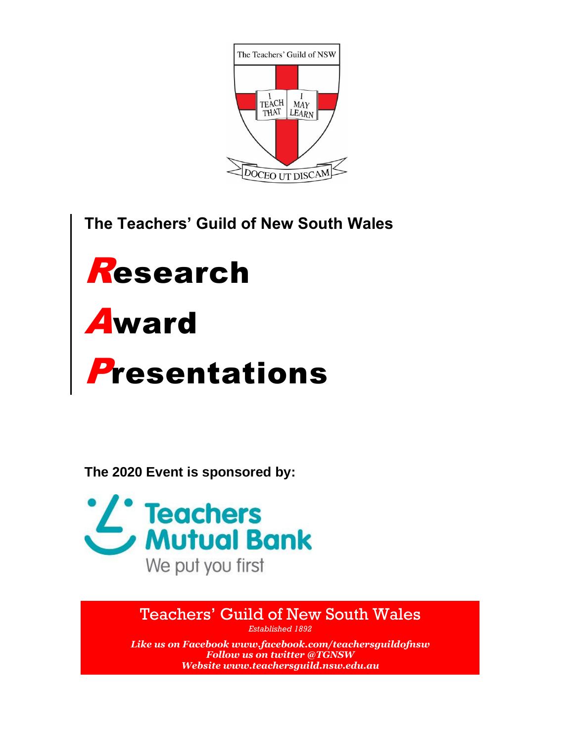

**The Teachers' Guild of New South Wales**



**The 2020 Event is sponsored by:**



Teachers' Guild of New South Wales

*Established 1892 Like us on Facebook [www.facebook.com/teachersguildofnsw](http://www.facebook.com/teachersguildofnsw) Follow us on twitter @TGNSW Website [www.teachersguild.nsw.edu.au](http://www.teachersguild.nsw.edu.au/)*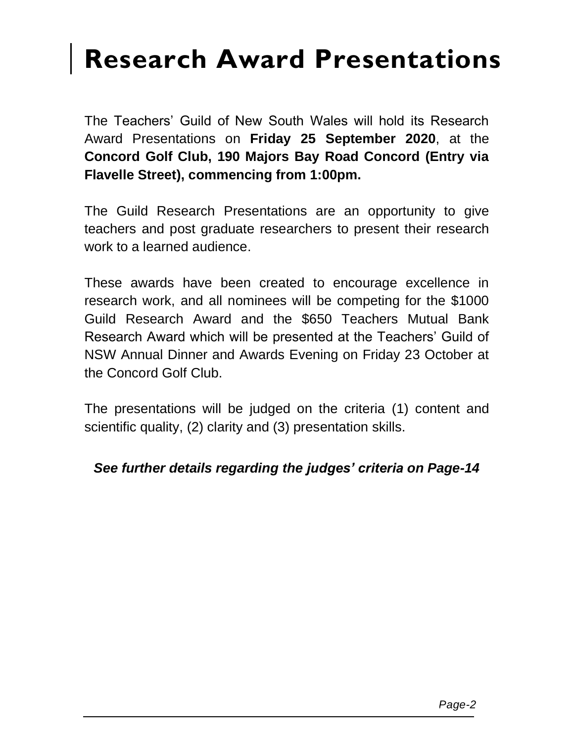## **Research Award Presentations**

The Teachers' Guild of New South Wales will hold its Research Award Presentations on **Friday 25 September 2020**, at the **Concord Golf Club, 190 Majors Bay Road Concord (Entry via Flavelle Street), commencing from 1:00pm.**

The Guild Research Presentations are an opportunity to give teachers and post graduate researchers to present their research work to a learned audience.

These awards have been created to encourage excellence in research work, and all nominees will be competing for the \$1000 Guild Research Award and the \$650 Teachers Mutual Bank Research Award which will be presented at the Teachers' Guild of NSW Annual Dinner and Awards Evening on Friday 23 October at the Concord Golf Club.

The presentations will be judged on the criteria (1) content and scientific quality, (2) clarity and (3) presentation skills.

### *See further details regarding the judges' criteria on Page-14*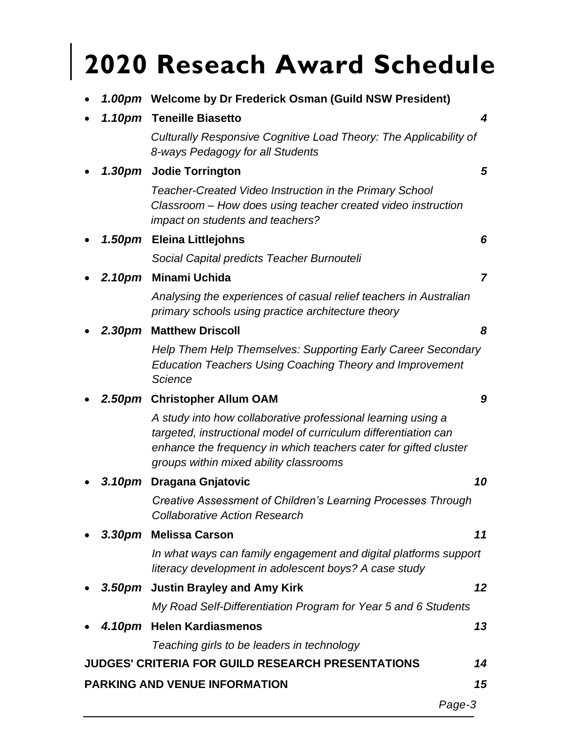# **2020 Reseach Award Schedule**

• *1.00pm* **Welcome by Dr Frederick Osman (Guild NSW President)**

|        | 1.10pm Teneille Biasetto                                                                                                                                                                                                                      |    |
|--------|-----------------------------------------------------------------------------------------------------------------------------------------------------------------------------------------------------------------------------------------------|----|
|        | Culturally Responsive Cognitive Load Theory: The Applicability of<br>8-ways Pedagogy for all Students                                                                                                                                         |    |
|        | 1.30pm Jodie Torrington                                                                                                                                                                                                                       | 5  |
|        | Teacher-Created Video Instruction in the Primary School<br>Classroom - How does using teacher created video instruction<br>impact on students and teachers?                                                                                   |    |
| 1.50pm | <b>Eleina Littlejohns</b>                                                                                                                                                                                                                     | 6  |
|        | Social Capital predicts Teacher Burnouteli                                                                                                                                                                                                    |    |
| 2.10pm | Minami Uchida                                                                                                                                                                                                                                 | 7  |
|        | Analysing the experiences of casual relief teachers in Australian<br>primary schools using practice architecture theory                                                                                                                       |    |
| 2.30pm | <b>Matthew Driscoll</b>                                                                                                                                                                                                                       | 8  |
|        | Help Them Help Themselves: Supporting Early Career Secondary<br><b>Education Teachers Using Coaching Theory and Improvement</b><br>Science                                                                                                    |    |
|        | 2.50pm Christopher Allum OAM                                                                                                                                                                                                                  | 9  |
|        | A study into how collaborative professional learning using a<br>targeted, instructional model of curriculum differentiation can<br>enhance the frequency in which teachers cater for gifted cluster<br>groups within mixed ability classrooms |    |
| 3.10pm | <b>Dragana Gnjatovic</b>                                                                                                                                                                                                                      | 10 |
|        | Creative Assessment of Children's Learning Processes Through<br><b>Collaborative Action Research</b>                                                                                                                                          |    |
|        | 3.30pm Melissa Carson                                                                                                                                                                                                                         | 11 |
|        | In what ways can family engagement and digital platforms support<br>literacy development in adolescent boys? A case study                                                                                                                     |    |
|        | 3.50pm Justin Brayley and Amy Kirk                                                                                                                                                                                                            | 12 |
|        | My Road Self-Differentiation Program for Year 5 and 6 Students                                                                                                                                                                                |    |
|        | 4.10pm Helen Kardiasmenos                                                                                                                                                                                                                     | 13 |
|        | Teaching girls to be leaders in technology                                                                                                                                                                                                    |    |
|        | <b>JUDGES' CRITERIA FOR GUILD RESEARCH PRESENTATIONS</b>                                                                                                                                                                                      | 14 |
|        | <b>PARKING AND VENUE INFORMATION</b>                                                                                                                                                                                                          | 15 |

*Page-3*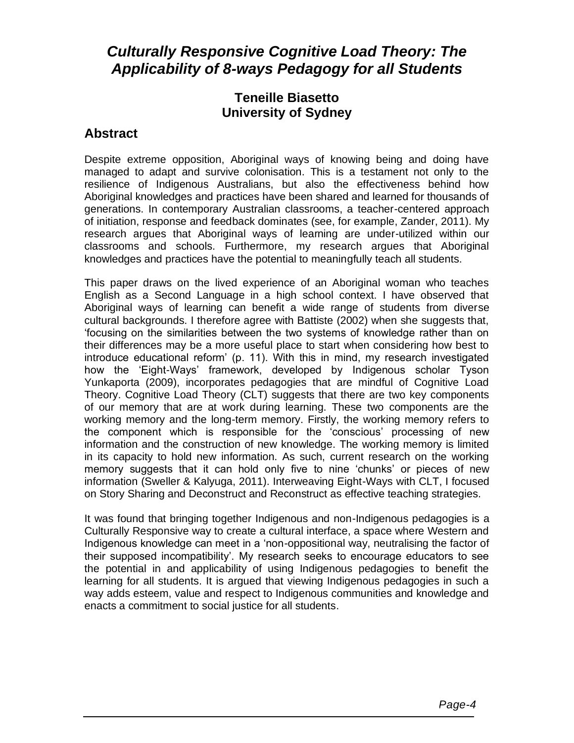## *Culturally Responsive Cognitive Load Theory: The Applicability of 8-ways Pedagogy for all Students*

#### **Teneille Biasetto University of Sydney**

#### **Abstract**

Despite extreme opposition, Aboriginal ways of knowing being and doing have managed to adapt and survive colonisation. This is a testament not only to the resilience of Indigenous Australians, but also the effectiveness behind how Aboriginal knowledges and practices have been shared and learned for thousands of generations. In contemporary Australian classrooms, a teacher-centered approach of initiation, response and feedback dominates (see, for example, Zander, 2011). My research argues that Aboriginal ways of learning are under-utilized within our classrooms and schools. Furthermore, my research argues that Aboriginal knowledges and practices have the potential to meaningfully teach all students.

This paper draws on the lived experience of an Aboriginal woman who teaches English as a Second Language in a high school context. I have observed that Aboriginal ways of learning can benefit a wide range of students from diverse cultural backgrounds. I therefore agree with Battiste (2002) when she suggests that, 'focusing on the similarities between the two systems of knowledge rather than on their differences may be a more useful place to start when considering how best to introduce educational reform' (p. 11). With this in mind, my research investigated how the 'Eight-Ways' framework, developed by Indigenous scholar Tyson Yunkaporta (2009), incorporates pedagogies that are mindful of Cognitive Load Theory. Cognitive Load Theory (CLT) suggests that there are two key components of our memory that are at work during learning. These two components are the working memory and the long-term memory. Firstly, the working memory refers to the component which is responsible for the 'conscious' processing of new information and the construction of new knowledge. The working memory is limited in its capacity to hold new information. As such, current research on the working memory suggests that it can hold only five to nine 'chunks' or pieces of new information (Sweller & Kalyuga, 2011). Interweaving Eight-Ways with CLT, I focused on Story Sharing and Deconstruct and Reconstruct as effective teaching strategies.

It was found that bringing together Indigenous and non-Indigenous pedagogies is a Culturally Responsive way to create a cultural interface, a space where Western and Indigenous knowledge can meet in a 'non-oppositional way, neutralising the factor of their supposed incompatibility'. My research seeks to encourage educators to see the potential in and applicability of using Indigenous pedagogies to benefit the learning for all students. It is argued that viewing Indigenous pedagogies in such a way adds esteem, value and respect to Indigenous communities and knowledge and enacts a commitment to social justice for all students.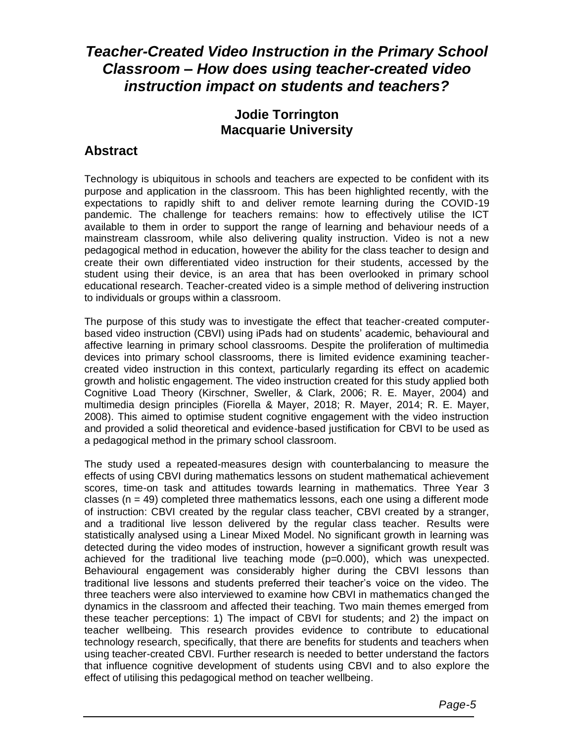## *Teacher-Created Video Instruction in the Primary School Classroom – How does using teacher-created video instruction impact on students and teachers?*

#### **Jodie Torrington Macquarie University**

#### **Abstract**

Technology is ubiquitous in schools and teachers are expected to be confident with its purpose and application in the classroom. This has been highlighted recently, with the expectations to rapidly shift to and deliver remote learning during the COVID-19 pandemic. The challenge for teachers remains: how to effectively utilise the ICT available to them in order to support the range of learning and behaviour needs of a mainstream classroom, while also delivering quality instruction. Video is not a new pedagogical method in education, however the ability for the class teacher to design and create their own differentiated video instruction for their students, accessed by the student using their device, is an area that has been overlooked in primary school educational research. Teacher-created video is a simple method of delivering instruction to individuals or groups within a classroom.

The purpose of this study was to investigate the effect that teacher-created computerbased video instruction (CBVI) using iPads had on students' academic, behavioural and affective learning in primary school classrooms. Despite the proliferation of multimedia devices into primary school classrooms, there is limited evidence examining teachercreated video instruction in this context, particularly regarding its effect on academic growth and holistic engagement. The video instruction created for this study applied both Cognitive Load Theory (Kirschner, Sweller, & Clark, 2006; R. E. Mayer, 2004) and multimedia design principles (Fiorella & Mayer, 2018; R. Mayer, 2014; R. E. Mayer, 2008). This aimed to optimise student cognitive engagement with the video instruction and provided a solid theoretical and evidence-based justification for CBVI to be used as a pedagogical method in the primary school classroom.

The study used a repeated-measures design with counterbalancing to measure the effects of using CBVI during mathematics lessons on student mathematical achievement scores, time-on task and attitudes towards learning in mathematics. Three Year 3 classes ( $n = 49$ ) completed three mathematics lessons, each one using a different mode of instruction: CBVI created by the regular class teacher, CBVI created by a stranger, and a traditional live lesson delivered by the regular class teacher. Results were statistically analysed using a Linear Mixed Model. No significant growth in learning was detected during the video modes of instruction, however a significant growth result was achieved for the traditional live teaching mode (p=0.000), which was unexpected. Behavioural engagement was considerably higher during the CBVI lessons than traditional live lessons and students preferred their teacher's voice on the video. The three teachers were also interviewed to examine how CBVI in mathematics changed the dynamics in the classroom and affected their teaching. Two main themes emerged from these teacher perceptions: 1) The impact of CBVI for students; and 2) the impact on teacher wellbeing. This research provides evidence to contribute to educational technology research, specifically, that there are benefits for students and teachers when using teacher-created CBVI. Further research is needed to better understand the factors that influence cognitive development of students using CBVI and to also explore the effect of utilising this pedagogical method on teacher wellbeing.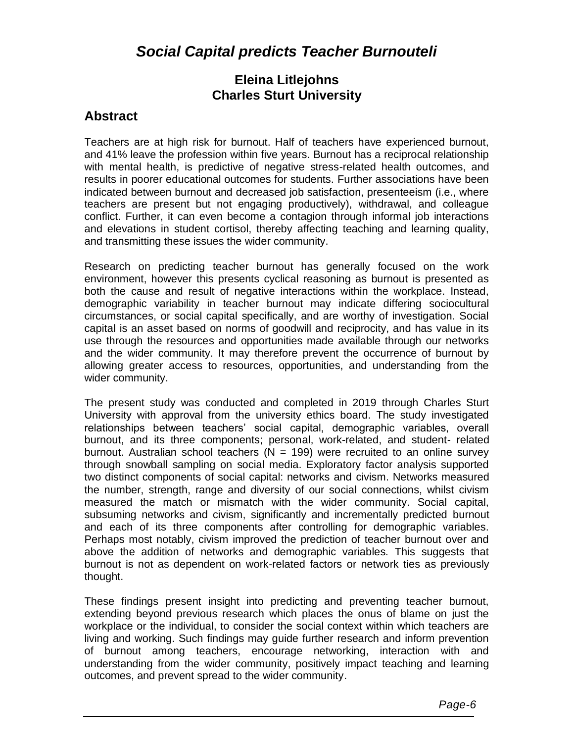## *Social Capital predicts Teacher Burnouteli*

#### **Eleina Litlejohns Charles Sturt University**

#### **Abstract**

Teachers are at high risk for burnout. Half of teachers have experienced burnout, and 41% leave the profession within five years. Burnout has a reciprocal relationship with mental health, is predictive of negative stress-related health outcomes, and results in poorer educational outcomes for students. Further associations have been indicated between burnout and decreased job satisfaction, presenteeism (i.e., where teachers are present but not engaging productively), withdrawal, and colleague conflict. Further, it can even become a contagion through informal job interactions and elevations in student cortisol, thereby affecting teaching and learning quality, and transmitting these issues the wider community.

Research on predicting teacher burnout has generally focused on the work environment, however this presents cyclical reasoning as burnout is presented as both the cause and result of negative interactions within the workplace. Instead, demographic variability in teacher burnout may indicate differing sociocultural circumstances, or social capital specifically, and are worthy of investigation. Social capital is an asset based on norms of goodwill and reciprocity, and has value in its use through the resources and opportunities made available through our networks and the wider community. It may therefore prevent the occurrence of burnout by allowing greater access to resources, opportunities, and understanding from the wider community.

The present study was conducted and completed in 2019 through Charles Sturt University with approval from the university ethics board. The study investigated relationships between teachers' social capital, demographic variables, overall burnout, and its three components; personal, work-related, and student- related burnout. Australian school teachers ( $N = 199$ ) were recruited to an online survey through snowball sampling on social media. Exploratory factor analysis supported two distinct components of social capital: networks and civism. Networks measured the number, strength, range and diversity of our social connections, whilst civism measured the match or mismatch with the wider community. Social capital, subsuming networks and civism, significantly and incrementally predicted burnout and each of its three components after controlling for demographic variables. Perhaps most notably, civism improved the prediction of teacher burnout over and above the addition of networks and demographic variables. This suggests that burnout is not as dependent on work-related factors or network ties as previously thought.

These findings present insight into predicting and preventing teacher burnout, extending beyond previous research which places the onus of blame on just the workplace or the individual, to consider the social context within which teachers are living and working. Such findings may guide further research and inform prevention of burnout among teachers, encourage networking, interaction with and understanding from the wider community, positively impact teaching and learning outcomes, and prevent spread to the wider community.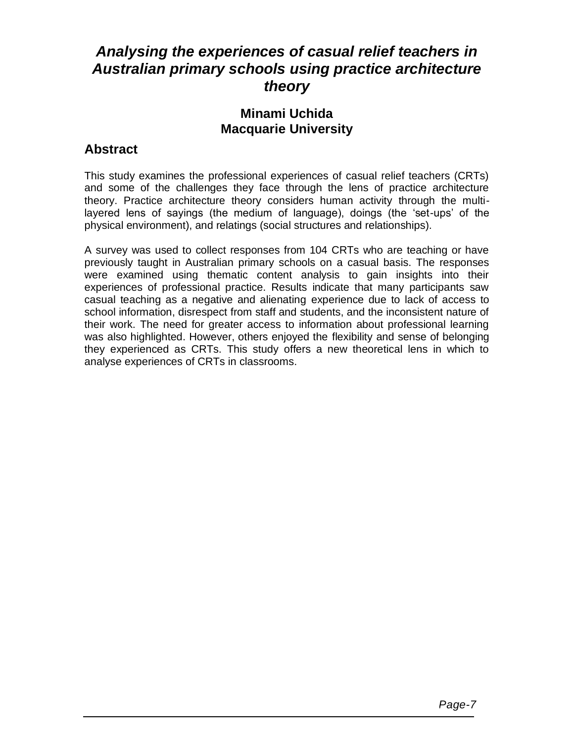## *Analysing the experiences of casual relief teachers in Australian primary schools using practice architecture theory*

#### **Minami Uchida Macquarie University**

#### **Abstract**

This study examines the professional experiences of casual relief teachers (CRTs) and some of the challenges they face through the lens of practice architecture theory. Practice architecture theory considers human activity through the multilayered lens of sayings (the medium of language), doings (the 'set-ups' of the physical environment), and relatings (social structures and relationships).

A survey was used to collect responses from 104 CRTs who are teaching or have previously taught in Australian primary schools on a casual basis. The responses were examined using thematic content analysis to gain insights into their experiences of professional practice. Results indicate that many participants saw casual teaching as a negative and alienating experience due to lack of access to school information, disrespect from staff and students, and the inconsistent nature of their work. The need for greater access to information about professional learning was also highlighted. However, others enjoyed the flexibility and sense of belonging they experienced as CRTs. This study offers a new theoretical lens in which to analyse experiences of CRTs in classrooms.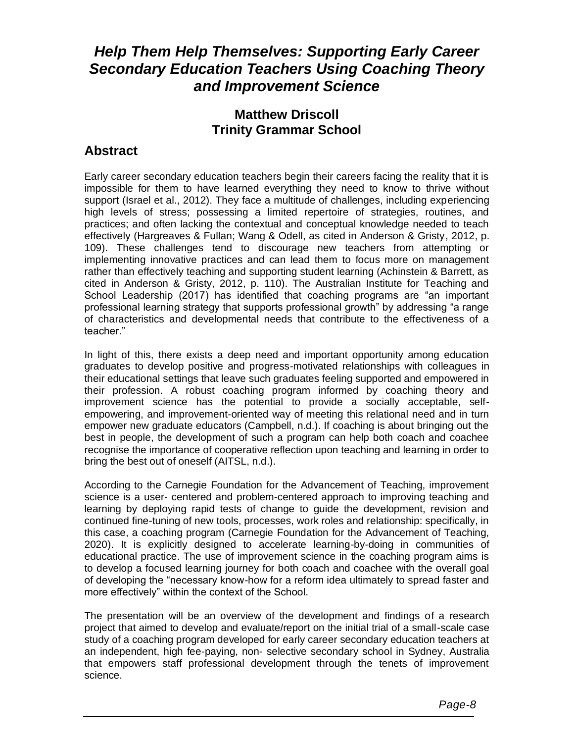## *Help Them Help Themselves: Supporting Early Career Secondary Education Teachers Using Coaching Theory and Improvement Science*

#### **Matthew Driscoll Trinity Grammar School**

#### **Abstract**

Early career secondary education teachers begin their careers facing the reality that it is impossible for them to have learned everything they need to know to thrive without support (Israel et al., 2012). They face a multitude of challenges, including experiencing high levels of stress; possessing a limited repertoire of strategies, routines, and practices; and often lacking the contextual and conceptual knowledge needed to teach effectively (Hargreaves & Fullan; Wang & Odell, as cited in Anderson & Gristy, 2012, p. 109). These challenges tend to discourage new teachers from attempting or implementing innovative practices and can lead them to focus more on management rather than effectively teaching and supporting student learning (Achinstein & Barrett, as cited in Anderson & Gristy, 2012, p. 110). The Australian Institute for Teaching and School Leadership (2017) has identified that coaching programs are "an important professional learning strategy that supports professional growth" by addressing "a range of characteristics and developmental needs that contribute to the effectiveness of a teacher."

In light of this, there exists a deep need and important opportunity among education graduates to develop positive and progress-motivated relationships with colleagues in their educational settings that leave such graduates feeling supported and empowered in their profession. A robust coaching program informed by coaching theory and improvement science has the potential to provide a socially acceptable, selfempowering, and improvement-oriented way of meeting this relational need and in turn empower new graduate educators (Campbell, n.d.). If coaching is about bringing out the best in people, the development of such a program can help both coach and coachee recognise the importance of cooperative reflection upon teaching and learning in order to bring the best out of oneself (AITSL, n.d.).

According to the Carnegie Foundation for the Advancement of Teaching, improvement science is a user- centered and problem-centered approach to improving teaching and learning by deploying rapid tests of change to guide the development, revision and continued fine-tuning of new tools, processes, work roles and relationship: specifically, in this case, a coaching program (Carnegie Foundation for the Advancement of Teaching, 2020). It is explicitly designed to accelerate learning-by-doing in communities of educational practice. The use of improvement science in the coaching program aims is to develop a focused learning journey for both coach and coachee with the overall goal of developing the "necessary know-how for a reform idea ultimately to spread faster and more effectively" within the context of the School.

The presentation will be an overview of the development and findings of a research project that aimed to develop and evaluate/report on the initial trial of a small-scale case study of a coaching program developed for early career secondary education teachers at an independent, high fee-paying, non- selective secondary school in Sydney, Australia that empowers staff professional development through the tenets of improvement science.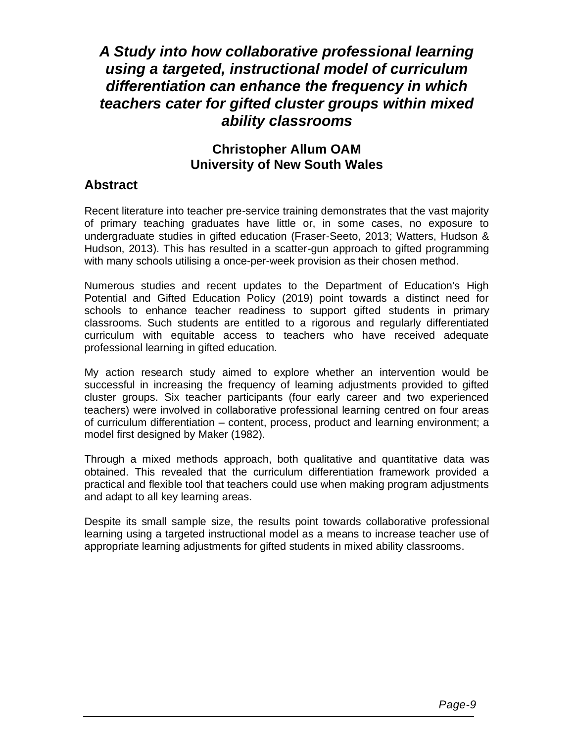## *A Study into how collaborative professional learning using a targeted, instructional model of curriculum differentiation can enhance the frequency in which teachers cater for gifted cluster groups within mixed ability classrooms*

#### **Christopher Allum OAM University of New South Wales**

#### **Abstract**

Recent literature into teacher pre-service training demonstrates that the vast majority of primary teaching graduates have little or, in some cases, no exposure to undergraduate studies in gifted education (Fraser-Seeto, 2013; Watters, Hudson & Hudson, 2013). This has resulted in a scatter-gun approach to gifted programming with many schools utilising a once-per-week provision as their chosen method.

Numerous studies and recent updates to the Department of Education's High Potential and Gifted Education Policy (2019) point towards a distinct need for schools to enhance teacher readiness to support gifted students in primary classrooms. Such students are entitled to a rigorous and regularly differentiated curriculum with equitable access to teachers who have received adequate professional learning in gifted education.

My action research study aimed to explore whether an intervention would be successful in increasing the frequency of learning adjustments provided to gifted cluster groups. Six teacher participants (four early career and two experienced teachers) were involved in collaborative professional learning centred on four areas of curriculum differentiation – content, process, product and learning environment; a model first designed by Maker (1982).

Through a mixed methods approach, both qualitative and quantitative data was obtained. This revealed that the curriculum differentiation framework provided a practical and flexible tool that teachers could use when making program adjustments and adapt to all key learning areas.

Despite its small sample size, the results point towards collaborative professional learning using a targeted instructional model as a means to increase teacher use of appropriate learning adjustments for gifted students in mixed ability classrooms.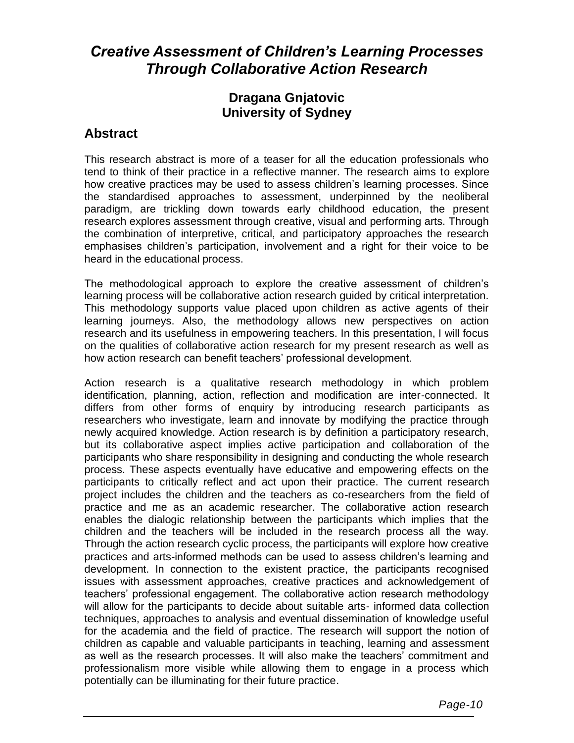## *Creative Assessment of Children's Learning Processes Through Collaborative Action Research*

#### **Dragana Gnjatovic University of Sydney**

#### **Abstract**

This research abstract is more of a teaser for all the education professionals who tend to think of their practice in a reflective manner. The research aims to explore how creative practices may be used to assess children's learning processes. Since the standardised approaches to assessment, underpinned by the neoliberal paradigm, are trickling down towards early childhood education, the present research explores assessment through creative, visual and performing arts. Through the combination of interpretive, critical, and participatory approaches the research emphasises children's participation, involvement and a right for their voice to be heard in the educational process.

The methodological approach to explore the creative assessment of children's learning process will be collaborative action research guided by critical interpretation. This methodology supports value placed upon children as active agents of their learning journeys. Also, the methodology allows new perspectives on action research and its usefulness in empowering teachers. In this presentation, I will focus on the qualities of collaborative action research for my present research as well as how action research can benefit teachers' professional development.

Action research is a qualitative research methodology in which problem identification, planning, action, reflection and modification are inter-connected. It differs from other forms of enquiry by introducing research participants as researchers who investigate, learn and innovate by modifying the practice through newly acquired knowledge. Action research is by definition a participatory research, but its collaborative aspect implies active participation and collaboration of the participants who share responsibility in designing and conducting the whole research process. These aspects eventually have educative and empowering effects on the participants to critically reflect and act upon their practice. The current research project includes the children and the teachers as co-researchers from the field of practice and me as an academic researcher. The collaborative action research enables the dialogic relationship between the participants which implies that the children and the teachers will be included in the research process all the way. Through the action research cyclic process, the participants will explore how creative practices and arts-informed methods can be used to assess children's learning and development. In connection to the existent practice, the participants recognised issues with assessment approaches, creative practices and acknowledgement of teachers' professional engagement. The collaborative action research methodology will allow for the participants to decide about suitable arts- informed data collection techniques, approaches to analysis and eventual dissemination of knowledge useful for the academia and the field of practice. The research will support the notion of children as capable and valuable participants in teaching, learning and assessment as well as the research processes. It will also make the teachers' commitment and professionalism more visible while allowing them to engage in a process which potentially can be illuminating for their future practice.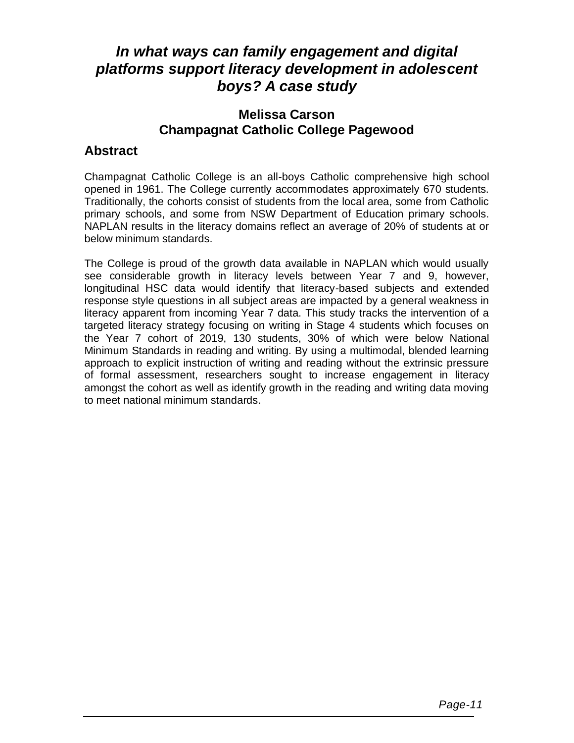## *In what ways can family engagement and digital platforms support literacy development in adolescent boys? A case study*

#### **Melissa Carson Champagnat Catholic College Pagewood**

#### **Abstract**

Champagnat Catholic College is an all-boys Catholic comprehensive high school opened in 1961. The College currently accommodates approximately 670 students. Traditionally, the cohorts consist of students from the local area, some from Catholic primary schools, and some from NSW Department of Education primary schools. NAPLAN results in the literacy domains reflect an average of 20% of students at or below minimum standards.

The College is proud of the growth data available in NAPLAN which would usually see considerable growth in literacy levels between Year 7 and 9, however, longitudinal HSC data would identify that literacy-based subjects and extended response style questions in all subject areas are impacted by a general weakness in literacy apparent from incoming Year 7 data. This study tracks the intervention of a targeted literacy strategy focusing on writing in Stage 4 students which focuses on the Year 7 cohort of 2019, 130 students, 30% of which were below National Minimum Standards in reading and writing. By using a multimodal, blended learning approach to explicit instruction of writing and reading without the extrinsic pressure of formal assessment, researchers sought to increase engagement in literacy amongst the cohort as well as identify growth in the reading and writing data moving to meet national minimum standards.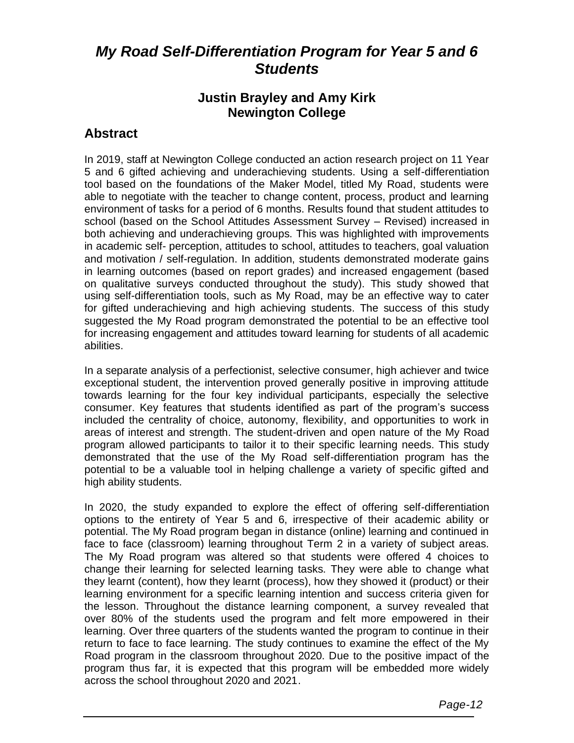## *My Road Self-Differentiation Program for Year 5 and 6 Students*

#### **Justin Brayley and Amy Kirk Newington College**

#### **Abstract**

In 2019, staff at Newington College conducted an action research project on 11 Year 5 and 6 gifted achieving and underachieving students. Using a self-differentiation tool based on the foundations of the Maker Model, titled My Road, students were able to negotiate with the teacher to change content, process, product and learning environment of tasks for a period of 6 months. Results found that student attitudes to school (based on the School Attitudes Assessment Survey – Revised) increased in both achieving and underachieving groups. This was highlighted with improvements in academic self- perception, attitudes to school, attitudes to teachers, goal valuation and motivation / self-regulation. In addition, students demonstrated moderate gains in learning outcomes (based on report grades) and increased engagement (based on qualitative surveys conducted throughout the study). This study showed that using self-differentiation tools, such as My Road, may be an effective way to cater for gifted underachieving and high achieving students. The success of this study suggested the My Road program demonstrated the potential to be an effective tool for increasing engagement and attitudes toward learning for students of all academic abilities.

In a separate analysis of a perfectionist, selective consumer, high achiever and twice exceptional student, the intervention proved generally positive in improving attitude towards learning for the four key individual participants, especially the selective consumer. Key features that students identified as part of the program's success included the centrality of choice, autonomy, flexibility, and opportunities to work in areas of interest and strength. The student-driven and open nature of the My Road program allowed participants to tailor it to their specific learning needs. This study demonstrated that the use of the My Road self-differentiation program has the potential to be a valuable tool in helping challenge a variety of specific gifted and high ability students.

In 2020, the study expanded to explore the effect of offering self-differentiation options to the entirety of Year 5 and 6, irrespective of their academic ability or potential. The My Road program began in distance (online) learning and continued in face to face (classroom) learning throughout Term 2 in a variety of subject areas. The My Road program was altered so that students were offered 4 choices to change their learning for selected learning tasks. They were able to change what they learnt (content), how they learnt (process), how they showed it (product) or their learning environment for a specific learning intention and success criteria given for the lesson. Throughout the distance learning component, a survey revealed that over 80% of the students used the program and felt more empowered in their learning. Over three quarters of the students wanted the program to continue in their return to face to face learning. The study continues to examine the effect of the My Road program in the classroom throughout 2020. Due to the positive impact of the program thus far, it is expected that this program will be embedded more widely across the school throughout 2020 and 2021.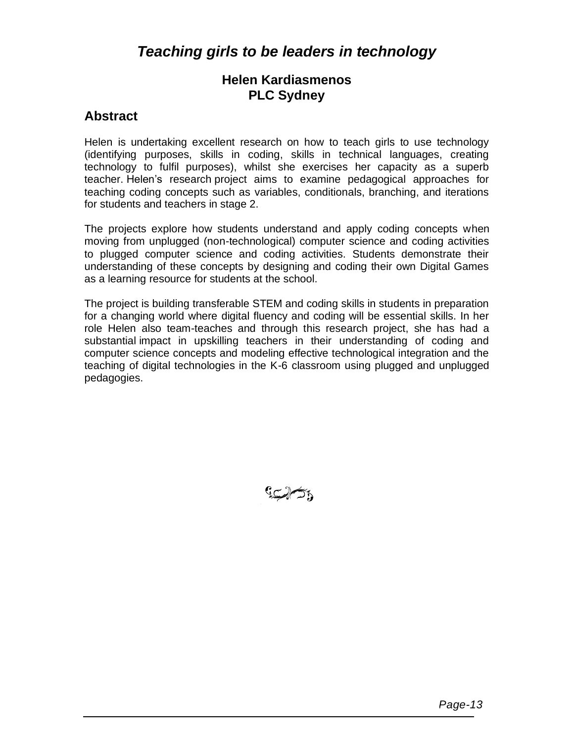## *Teaching girls to be leaders in technology*

#### **Helen Kardiasmenos PLC Sydney**

#### **Abstract**

Helen is undertaking excellent research on how to teach girls to use technology (identifying purposes, skills in coding, skills in technical languages, creating technology to fulfil purposes), whilst she exercises her capacity as a superb teacher. Helen's research project aims to examine pedagogical approaches for teaching coding concepts such as variables, conditionals, branching, and iterations for students and teachers in stage 2.

The projects explore how students understand and apply coding concepts when moving from unplugged (non-technological) computer science and coding activities to plugged computer science and coding activities. Students demonstrate their understanding of these concepts by designing and coding their own Digital Games as a learning resource for students at the school.

The project is building transferable STEM and coding skills in students in preparation for a changing world where digital fluency and coding will be essential skills. In her role Helen also team-teaches and through this research project, she has had a substantial impact in upskilling teachers in their understanding of coding and computer science concepts and modeling effective technological integration and the teaching of digital technologies in the K-6 classroom using plugged and unplugged pedagogies.

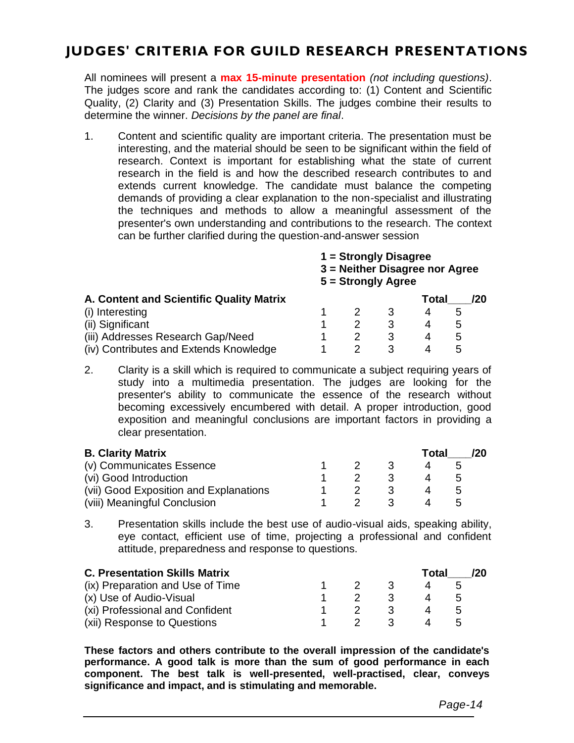## **JUDGES' CRITERIA FOR GUILD RESEARCH PRESENTATIONS**

All nominees will present a **max 15-minute presentation** *(not including questions)*. The judges score and rank the candidates according to: (1) Content and Scientific Quality, (2) Clarity and (3) Presentation Skills. The judges combine their results to determine the winner. *Decisions by the panel are final*.

1. Content and scientific quality are important criteria. The presentation must be interesting, and the material should be seen to be significant within the field of research. Context is important for establishing what the state of current research in the field is and how the described research contributes to and extends current knowledge. The candidate must balance the competing demands of providing a clear explanation to the non-specialist and illustrating the techniques and methods to allow a meaningful assessment of the presenter's own understanding and contributions to the research. The context can be further clarified during the question-and-answer session

**1 = Strongly Disagree** 

**3 = Neither Disagree nor Agree 5 = Strongly Agree**

| A. Content and Scientific Quality Matrix |  |  |   |  | Total |  |  |
|------------------------------------------|--|--|---|--|-------|--|--|
| (i) Interesting                          |  |  |   |  | h     |  |  |
| (ii) Significant                         |  |  |   |  | h     |  |  |
| (iii) Addresses Research Gap/Need        |  |  | ર |  | h     |  |  |
| (iv) Contributes and Extends Knowledge   |  |  |   |  | h     |  |  |

2. Clarity is a skill which is required to communicate a subject requiring years of study into a multimedia presentation. The judges are looking for the presenter's ability to communicate the essence of the research without becoming excessively encumbered with detail. A proper introduction, good exposition and meaningful conclusions are important factors in providing a clear presentation.

| <b>B. Clarity Matrix</b>               |  |  | Total | 120 <sup>°</sup> |                      |  |
|----------------------------------------|--|--|-------|------------------|----------------------|--|
| (v) Communicates Essence               |  |  | -3    |                  |                      |  |
| (vi) Good Introduction                 |  |  | -3    |                  | $\sim$               |  |
| (vii) Good Exposition and Explanations |  |  | ړ.    |                  |                      |  |
| (viii) Meaningful Conclusion           |  |  |       |                  | $\ddot{\phantom{1}}$ |  |

3. Presentation skills include the best use of audio-visual aids, speaking ability, eye contact, efficient use of time, projecting a professional and confident attitude, preparedness and response to questions.

| <b>C. Presentation Skills Matrix</b> |  |               |    | Total    |                | 120 <sup>°</sup> |
|--------------------------------------|--|---------------|----|----------|----------------|------------------|
| (ix) Preparation and Use of Time     |  | $\mathcal{P}$ | -3 | $\Delta$ | $\overline{a}$ |                  |
| (x) Use of Audio-Visual              |  |               | -3 |          | $\mathcal{D}$  |                  |
| (xi) Professional and Confident      |  |               | ્વ |          | <sub>n</sub>   |                  |
| (xii) Response to Questions          |  |               | -3 |          |                |                  |

**These factors and others contribute to the overall impression of the candidate's performance. A good talk is more than the sum of good performance in each component. The best talk is well-presented, well-practised, clear, conveys significance and impact, and is stimulating and memorable.**